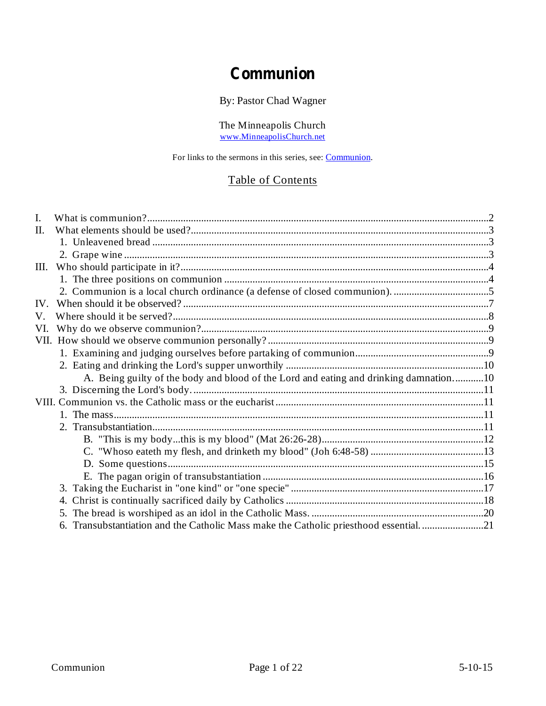## **Communion**

By: Pastor Chad Wagner

The Minneapolis Church www.MinneapolisChurch.net

For links to the sermons in this series, see: Communion.

## Table of Contents

| I.  |                                                                                       |  |
|-----|---------------------------------------------------------------------------------------|--|
| Π.  |                                                                                       |  |
|     |                                                                                       |  |
|     |                                                                                       |  |
| Ш.  |                                                                                       |  |
|     |                                                                                       |  |
|     |                                                                                       |  |
| IV. |                                                                                       |  |
| V.  |                                                                                       |  |
| VI. |                                                                                       |  |
|     |                                                                                       |  |
|     |                                                                                       |  |
|     |                                                                                       |  |
|     | A. Being guilty of the body and blood of the Lord and eating and drinking damnation10 |  |
|     |                                                                                       |  |
|     |                                                                                       |  |
|     |                                                                                       |  |
|     |                                                                                       |  |
|     |                                                                                       |  |
|     |                                                                                       |  |
|     |                                                                                       |  |
|     |                                                                                       |  |
|     |                                                                                       |  |
|     | 4.                                                                                    |  |
|     |                                                                                       |  |
|     | 6. Transubstantiation and the Catholic Mass make the Catholic priesthood essential21  |  |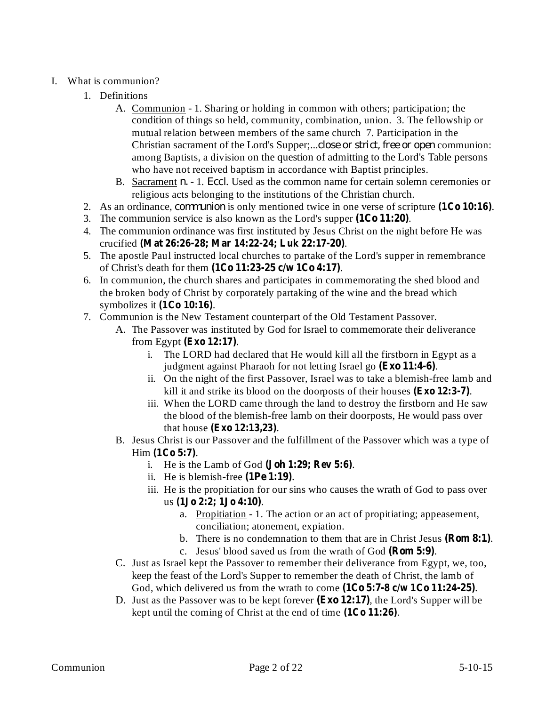## I. What is communion?

- 1. Definitions
	- A. Communion 1. Sharing or holding in common with others; participation; the condition of things so held, community, combination, union. 3. The fellowship or mutual relation between members of the same church 7. Participation in the Christian sacrament of the Lord's Supper;...*close or strict, free or open* communion: among Baptists, a division on the question of admitting to the Lord's Table persons who have not received baptism in accordance with Baptist principles.
	- B. Sacrament *n.* 1. *Eccl*. Used as the common name for certain solemn ceremonies or religious acts belonging to the institutions of the Christian church.
- 2. As an ordinance, *communion* is only mentioned twice in one verse of scripture  $(1Co 10:16)$ .
- 3. The communion service is also known as the Lord's supper  $(1Co 11:20)$ .
- 4. The communion ordinance was first instituted by Jesus Christ on the night before He was crucified . **(Mat 26:26-28; Mar 14:22-24; Luk 22:17-20)**
- 5. The apostle Paul instructed local churches to partake of the Lord's supper in remembrance of Christ's death for them . **(1Co 11:23-25 c/w 1Co 4:17)**
- 6. In communion, the church shares and participates in commemorating the shed blood and the broken body of Christ by corporately partaking of the wine and the bread which symbolizes it (1Co 10:16).
- 7. Communion is the New Testament counterpart of the Old Testament Passover.
	- A. The Passover was instituted by God for Israel to commemorate their deliverance from Egypt (**Exo** 12:17).
		- i. The LORD had declared that He would kill all the firstborn in Egypt as a judgment against Pharaoh for not letting Israel go (Exo 11:4-6).
		- ii. On the night of the first Passover, Israel was to take a blemish-free lamb and kill it and strike its blood on the doorposts of their houses (Exo 12:3-7).
		- iii. When the LORD came through the land to destroy the firstborn and He saw the blood of the blemish-free lamb on their doorposts, He would pass over **that house (Exo 12:13,23).**
	- B. Jesus Christ is our Passover and the fulfillment of the Passover which was a type of Him (1Co 5:7).
		- i. He is the Lamb of God  $(John 1:29; Rev 5:6)$ .
		- ii. He is blemish-free  $(1Pe 1:19)$ .
		- iii. He is the propitiation for our sins who causes the wrath of God to pass over us . **(1Jo 2:2; 1Jo 4:10)**
			- a. Propitiation 1. The action or an act of propitiating; appeasement, conciliation; atonement, expiation.
			- b. There is no condemnation to them that are in Christ Jesus (Rom 8:1).
			- c. Jesus' blood saved us from the wrath of God (Rom 5:9).
	- C. Just as Israel kept the Passover to remember their deliverance from Egypt, we, too, keep the feast of the Lord's Supper to remember the death of Christ, the lamb of God, which delivered us from the wrath to come  $(1Co 5:7-8 c/w 1Co 11:24-25)$ .
	- D. Just as the Passover was to be kept forever (Exo 12:17), the Lord's Supper will be kept until the coming of Christ at the end of time  $(1Co 11:26)$ .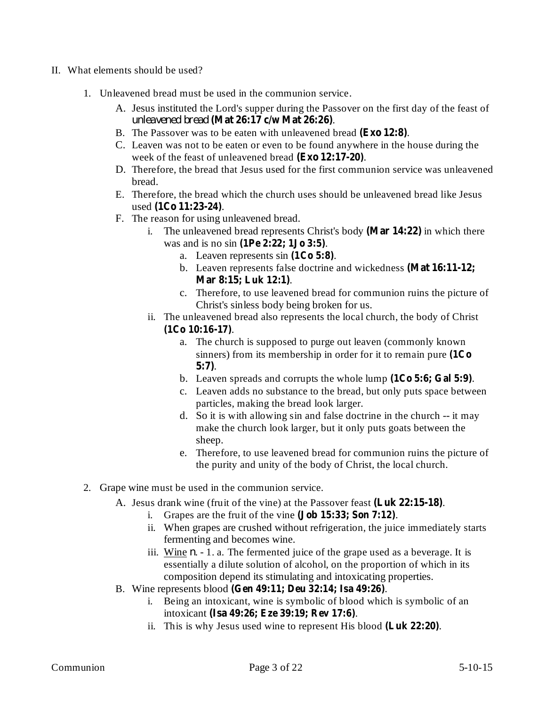- II. What elements should be used?
	- 1. Unleavened bread must be used in the communion service.
		- A. Jesus instituted the Lord's supper during the Passover on the first day of the feast of . *unleavened bread* **(Mat 26:17 c/w Mat 26:26)**
		- B. The Passover was to be eaten with unleavened bread (Exo 12:8).
		- C. Leaven was not to be eaten or even to be found anywhere in the house during the week of the feast of unleavened bread (Exo 12:17-20).
		- D. Therefore, the bread that Jesus used for the first communion service was unleavened bread.
		- E. Therefore, the bread which the church uses should be unleavened bread like Jesus used (1Co 11:23-24).
		- F. The reason for using unleavened bread.
			- i. The unleavened bread represents Christ's body (Mar 14:22) in which there was and is no sin . **(1Pe 2:22; 1Jo 3:5)**
				- a. Leaven represents  $sin(1Co 5:8)$ .
				- b. Leaven represents false doctrine and wickedness **(Mat 16:11-12;** . **Mar 8:15; Luk 12:1)**
				- c. Therefore, to use leavened bread for communion ruins the picture of Christ's sinless body being broken for us.
			- ii. The unleavened bread also represents the local church, the body of Christ . **(1Co 10:16-17)**
				- a. The church is supposed to purge out leaven (commonly known sinners) from its membership in order for it to remain pure **(1Co** . **5:7)**
				- b. Leaven spreads and corrupts the whole lump  $(1Co 5:6; Gal 5:9)$ .
				- c. Leaven adds no substance to the bread, but only puts space between particles, making the bread look larger.
				- d. So it is with allowing sin and false doctrine in the church -- it may make the church look larger, but it only puts goats between the sheep.
				- e. Therefore, to use leavened bread for communion ruins the picture of the purity and unity of the body of Christ, the local church.
	- 2. Grape wine must be used in the communion service.
		- A. Jesus drank wine (fruit of the vine) at the Passover feast (Luk 22:15-18).
			- i. Grapes are the fruit of the vine  $(\textbf{Job 15:33}; \textbf{Son 7:12}).$
			- ii. When grapes are crushed without refrigeration, the juice immediately starts fermenting and becomes wine.
			- iii. Wine  $n 1$ . a. The fermented juice of the grape used as a beverage. It is essentially a dilute solution of alcohol, on the proportion of which in its composition depend its stimulating and intoxicating properties.
		- B. Wine represents blood . **(Gen 49:11; Deu 32:14; Isa 49:26)**
			- i. Being an intoxicant, wine is symbolic of blood which is symbolic of an intoxicant . **(Isa 49:26; Eze 39:19; Rev 17:6)**
			- ii. This is why Jesus used wine to represent His blood (Luk 22:20).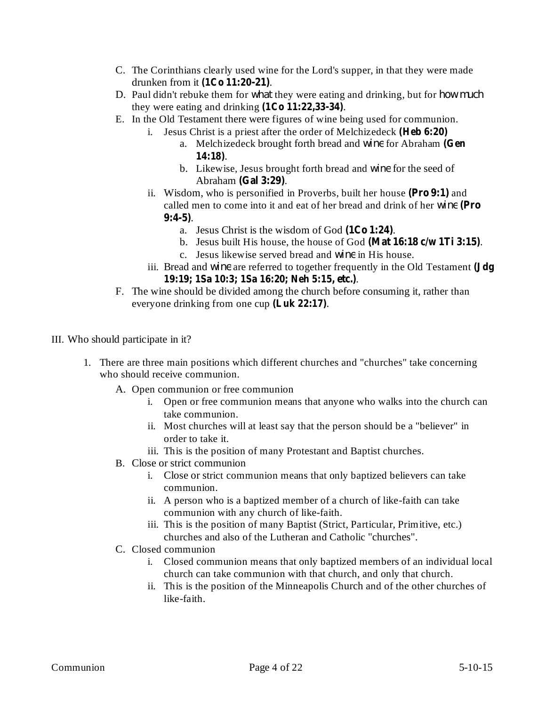- C. The Corinthians clearly used wine for the Lord's supper, in that they were made drunken from it (1Co 11:20-21).
- D. Paul didn't rebuke them for *what* they were eating and drinking, but for *how much* they were eating and drinking  $(1Co 11:22,33-34)$ .
- E. In the Old Testament there were figures of wine being used for communion.
	- i. Jesus Christ is a priest after the order of Melchizedeck **(Heb 6:20)**
		- a. Melchizedeck brought forth bread and wine for Abraham (Gen . **14:18)**
		- b. Likewise, Jesus brought forth bread and wine for the seed of Abraham (Gal 3:29).
	- ii. Wisdom, who is personified in Proverbs, built her house (Pro 9:1) and called men to come into it and eat of her bread and drink of her wine (Pro . **9:4-5)**
		- a. Jesus Christ is the wisdom of God (1Co 1:24).
		- b. Jesus built His house, the house of God . **(Mat 16:18 c/w 1Ti 3:15)**
		- c. Jesus likewise served bread and wine in His house.
	- iii. Bread and *wine* are referred to together frequently in the Old Testament (Jdg . **19:19; 1Sa 10:3; 1Sa 16:20; Neh 5:15, etc.)**
- F. The wine should be divided among the church before consuming it, rather than everyone drinking from one cup  $(Luk 22:17)$ .
- III. Who should participate in it?
	- 1. There are three main positions which different churches and "churches" take concerning who should receive communion.
		- A. Open communion or free communion
			- i. Open or free communion means that anyone who walks into the church can take communion.
			- ii. Most churches will at least say that the person should be a "believer" in order to take it.
			- iii. This is the position of many Protestant and Baptist churches.
		- B. Close or strict communion
			- i. Close or strict communion means that only baptized believers can take communion.
			- ii. A person who is a baptized member of a church of like-faith can take communion with any church of like-faith.
			- iii. This is the position of many Baptist (Strict, Particular, Primitive, etc.) churches and also of the Lutheran and Catholic "churches".
		- C. Closed communion
			- i. Closed communion means that only baptized members of an individual local church can take communion with that church, and only that church.
			- ii. This is the position of the Minneapolis Church and of the other churches of like-faith.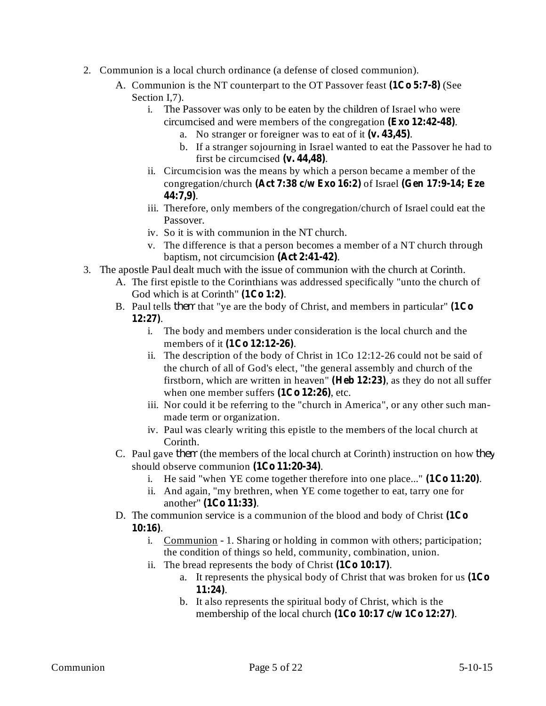- 2. Communion is a local church ordinance (a defense of closed communion).
	- A. Communion is the NT counterpart to the OT Passover feast (1Co 5:7-8) (See Section I,7).
		- i. The Passover was only to be eaten by the children of Israel who were circumcised and were members of the congregation (Exo 12:42-48).
			- a. No stranger or foreigner was to eat of it (v. 43,45).
			- b. If a stranger sojourning in Israel wanted to eat the Passover he had to first be circumcised  $(v. 44, 48)$ .
		- ii. Circumcision was the means by which a person became a member of the **congregation/church (Act 7:38 c/w Exo 16:2)** of Israel (Gen 17:9-14; Eze . **44:7,9)**
		- iii. Therefore, only members of the congregation/church of Israel could eat the Passover.
		- iv. So it is with communion in the NT church.
		- v. The difference is that a person becomes a member of a NT church through baptism, not circumcision (Act 2:41-42).
- 3. The apostle Paul dealt much with the issue of communion with the church at Corinth.
	- A. The first epistle to the Corinthians was addressed specifically "unto the church of God which is at Corinth" (1Co 1:2).
	- B. Paul tells *them* that "ye are the body of Christ, and members in particular" (1Co . **12:27)**
		- i. The body and members under consideration is the local church and the members of it (1Co 12:12-26).
		- ii. The description of the body of Christ in 1Co 12:12-26 could not be said of the church of all of God's elect, "the general assembly and church of the firstborn, which are written in heaven" (**Heb 12:23**), as they do not all suffer when one member suffers  $(1Co 12:26)$ , etc.
		- iii. Nor could it be referring to the "church in America", or any other such manmade term or organization.
		- iv. Paul was clearly writing this epistle to the members of the local church at Corinth.
	- C. Paul gave *them* (the members of the local church at Corinth) instruction on how *they* should observe communion (1Co 11:20-34).
		- i. He said "when YE come together therefore into one place..."  $(1Co 11:20)$ .
		- ii. And again, "my brethren, when YE come together to eat, tarry one for another" (1Co 11:33).
	- D. The communion service is a communion of the blood and body of Christ **(1Co** . **10:16)**
		- i. Communion 1. Sharing or holding in common with others; participation; the condition of things so held, community, combination, union.
		- ii. The bread represents the body of Christ  $(1Co 10:17)$ .
			- a. It represents the physical body of Christ that was broken for us **(1Co** . **11:24)**
			- b. It also represents the spiritual body of Christ, which is the membership of the local church  $(1Co 10:17 c/w 1Co 12:27)$ .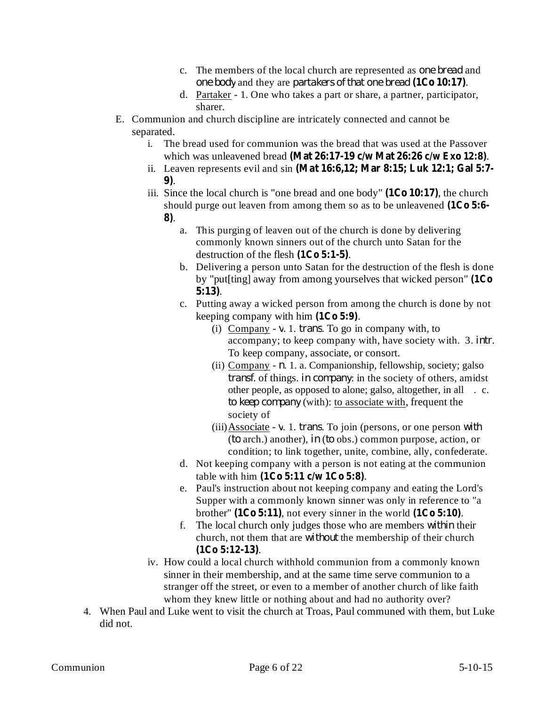- c. The members of the local church are represented as *one bread* and *one body* and they are *partakers of that one bread* (1Co 10:17).
- d. Partaker 1. One who takes a part or share, a partner, participator, sharer.
- E. Communion and church discipline are intricately connected and cannot be separated.
	- i. The bread used for communion was the bread that was used at the Passover which was unleavened bread (Mat 26:17-19  $c/w$  Mat 26:26  $c/w$  Exo 12:8).
	- ii. Leaven represents evil and sin **(Mat 16:6,12; Mar 8:15; Luk 12:1; Gal 5:7-** . **9)**
	- iii. Since the local church is "one bread and one body"  $(1Co 10:17)$ , the church should purge out leaven from among them so as to be unleavened **(1Co 5:6-** . **8)**
		- a. This purging of leaven out of the church is done by delivering commonly known sinners out of the church unto Satan for the destruction of the flesh  $(1Co 5:1-5)$ .
		- b. Delivering a person unto Satan for the destruction of the flesh is done by "put[ting] away from among yourselves that wicked person" **(1Co** . **5:13)**
		- c. Putting away a wicked person from among the church is done by not keeping company with him  $(1C<sub>0</sub> 5:9)$ .
			- (i) Company  $v$ . 1. *trans*. To go in company with, to accompany; to keep company with, have society with. 3. *intr*. To keep company, associate, or consort.
			- (ii) Company  $n$ . 1. a. Companionship, fellowship, society; galso *transf.* of things. in *company*: in the society of others, amidst other people, as opposed to alone; galso, altogether, in all . c. *to keep company* (with): to associate with, frequent the society of
			- $(iii)$  Associate v. 1. *trans*. To join (persons, or one person with (*to* arch.) another), *in* (*to* obs.) common purpose, action, or condition; to link together, unite, combine, ally, confederate.
		- d. Not keeping company with a person is not eating at the communion table with him  $(1Co 5:11 c/w 1Co 5:8)$ .
		- e. Paul's instruction about not keeping company and eating the Lord's Supper with a commonly known sinner was only in reference to "a brother"  $(1Co 5:11)$ , not every sinner in the world  $(1Co 5:10)$ .
		- f. The local church only judges those who are members *within* their church, not them that are *without* the membership of their church . **(1Co 5:12-13)**
	- iv. How could a local church withhold communion from a commonly known sinner in their membership, and at the same time serve communion to a stranger off the street, or even to a member of another church of like faith whom they knew little or nothing about and had no authority over?
- 4. When Paul and Luke went to visit the church at Troas, Paul communed with them, but Luke did not.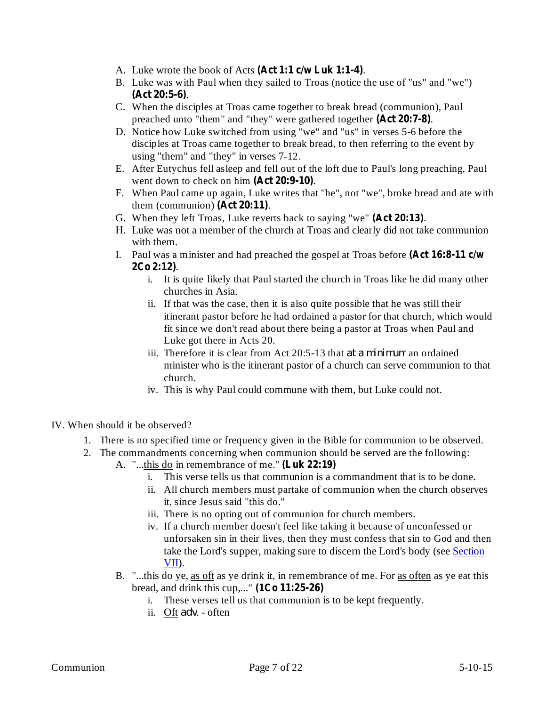- A. Luke wrote the book of Acts (Act 1:1 c/w Luk 1:1-4).
- B. Luke was with Paul when they sailed to Troas (notice the use of "us" and "we") . **(Act 20:5-6)**
- C. When the disciples at Troas came together to break bread (communion), Paul preached unto "them" and "they" were gathered together (Act 20:7-8).
- D. Notice how Luke switched from using "we" and "us" in verses 5-6 before the disciples at Troas came together to break bread, to then referring to the event by using "them" and "they" in verses 7-12.
- E. After Eutychus fell asleep and fell out of the loft due to Paul's long preaching, Paul went down to check on him (Act 20:9-10).
- F. When Paul came up again, Luke writes that "he", not "we", broke bread and ate with them (communion)  $( \text{Act } 20:11).$
- G. When they left Troas, Luke reverts back to saying "we" (Act 20:13).
- H. Luke was not a member of the church at Troas and clearly did not take communion with them.
- I. Paul was a minister and had preached the gospel at Troas before **(Act 16:8-11 c/w** . **2Co 2:12)**
	- i. It is quite likely that Paul started the church in Troas like he did many other churches in Asia.
	- ii. If that was the case, then it is also quite possible that he was still their itinerant pastor before he had ordained a pastor for that church, which would fit since we don't read about there being a pastor at Troas when Paul and Luke got there in Acts 20.
	- iii. Therefore it is clear from Act 20:5-13 that *at a minimum* an ordained minister who is the itinerant pastor of a church can serve communion to that church.
	- iv. This is why Paul could commune with them, but Luke could not.
- IV. When should it be observed?
	- 1. There is no specified time or frequency given in the Bible for communion to be observed.
	- 2. The commandments concerning when communion should be served are the following:
		- A. "...this do in remembrance of me." **(Luk 22:19)**
			- i. This verse tells us that communion is a commandment that is to be done.
			- ii. All church members must partake of communion when the church observes it, since Jesus said "this do."
			- iii. There is no opting out of communion for church members.
			- iv. If a church member doesn't feel like taking it because of unconfessed or unforsaken sin in their lives, then they must confess that sin to God and then take the Lord's supper, making sure to discern the Lord's body (see Section VII).
			- B. "...this do ye, as oft as ye drink it, in remembrance of me. For as often as ye eat this bread, and drink this cup,..." **(1Co 11:25-26)**
				- i. These verses tell us that communion is to be kept frequently.
				- ii. Oft *adv*. often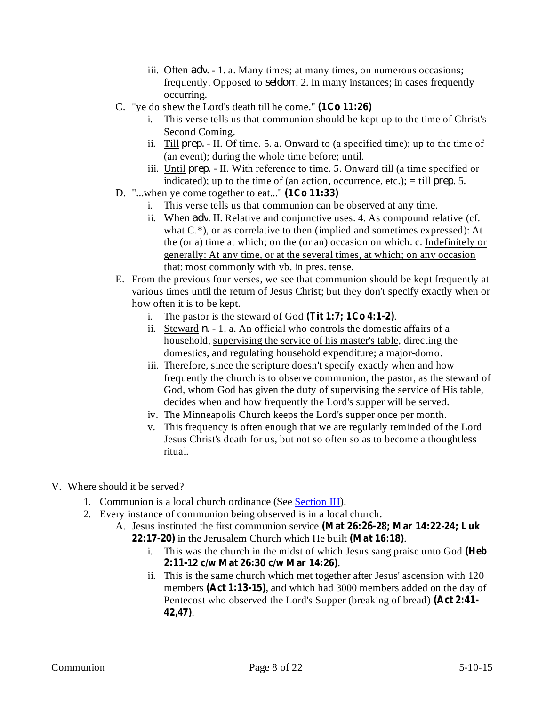- iii. Often *adv.* 1. a. Many times; at many times, on numerous occasions; frequently. Opposed to *seldom*. 2. In many instances; in cases frequently occurring.
- C. "ye do shew the Lord's death till he come." **(1Co 11:26)**
	- i. This verse tells us that communion should be kept up to the time of Christ's Second Coming.
	- ii. Till  $prep. II.$  Of time. 5. a. Onward to (a specified time); up to the time of (an event); during the whole time before; until.
	- iii. Until *prep*. II. With reference to time. 5. Onward till (a time specified or indicated); up to the time of (an action, occurrence, etc.);  $=$  till *prep*. 5.
- D. "...when ye come together to eat..." **(1Co 11:33)**
	- i. This verse tells us that communion can be observed at any time.
	- ii. When *adv*. II. Relative and conjunctive uses. 4. As compound relative (cf. what C.\*), or as correlative to then (implied and sometimes expressed): At the (or a) time at which; on the (or an) occasion on which. c. Indefinitely or generally: At any time, or at the several times, at which; on any occasion that: most commonly with vb. in pres. tense.
- E. From the previous four verses, we see that communion should be kept frequently at various times until the return of Jesus Christ; but they don't specify exactly when or how often it is to be kept.
	- i. The pastor is the steward of God  $(Tit 1:7; 1Co 4:1-2)$ .
	- ii. Steward  $n 1$ . a. An official who controls the domestic affairs of a household, supervising the service of his master's table, directing the domestics, and regulating household expenditure; a major-domo.
	- iii. Therefore, since the scripture doesn't specify exactly when and how frequently the church is to observe communion, the pastor, as the steward of God, whom God has given the duty of supervising the service of His table, decides when and how frequently the Lord's supper will be served.
	- iv. The Minneapolis Church keeps the Lord's supper once per month.
	- v. This frequency is often enough that we are regularly reminded of the Lord Jesus Christ's death for us, but not so often so as to become a thoughtless ritual.
- V. Where should it be served?
	- 1. Communion is a local church ordinance (See Section III).
	- 2. Every instance of communion being observed is in a local church.
		- A. Jesus instituted the first communion service **(Mat 26:26-28; Mar 14:22-24; Luk** 22:17-20) in the Jerusalem Church which He built (Mat 16:18).
			- i. This was the church in the midst of which Jesus sang praise unto God **(Heb** . **2:11-12 c/w Mat 26:30 c/w Mar 14:26)**
			- ii. This is the same church which met together after Jesus' ascension with 120 members (Act 1:13-15), and which had 3000 members added on the day of Pentecost who observed the Lord's Supper (breaking of bread) **(Act 2:41-** . **42,47)**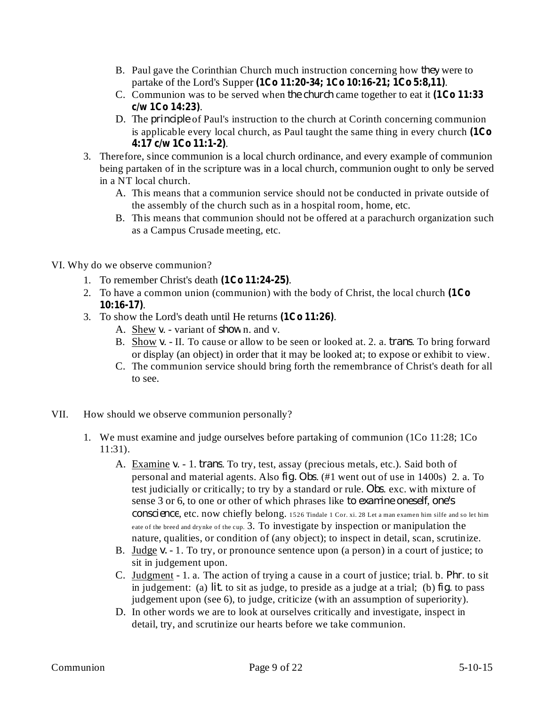- B. Paul gave the Corinthian Church much instruction concerning how *they* were to partake of the Lord's Supper (1Co 11:20-34; 1Co 10:16-21; 1Co 5:8,11).
- C. Communion was to be served when the church came together to eat it (1Co 11:33 . **c/w 1Co 14:23)**
- D. The *principle* of Paul's instruction to the church at Corinth concerning communion is applicable every local church, as Paul taught the same thing in every church **(1Co** . **4:17 c/w 1Co 11:1-2)**
- 3. Therefore, since communion is a local church ordinance, and every example of communion being partaken of in the scripture was in a local church, communion ought to only be served in a NT local church.
	- A. This means that a communion service should not be conducted in private outside of the assembly of the church such as in a hospital room, home, etc.
	- B. This means that communion should not be offered at a parachurch organization such as a Campus Crusade meeting, etc.
- VI. Why do we observe communion?
	- 1. To remember Christ's death  $(1Co 11:24-25)$ .
	- 2. To have a common union (communion) with the body of Christ, the local church **(1Co** . **10:16-17)**
	- 3. To show the Lord's death until He returns (1Co 11:26).
		- A. Shew v. variant of show n. and v.
		- B. Show v. II. To cause or allow to be seen or looked at. 2. a. *trans*. To bring forward or display (an object) in order that it may be looked at; to expose or exhibit to view.
		- C. The communion service should bring forth the remembrance of Christ's death for all to see.
- VII. How should we observe communion personally?
	- 1. We must examine and judge ourselves before partaking of communion (1Co 11:28; 1Co 11:31).
		- A. Examine v. 1. *trans*. To try, test, assay (precious metals, etc.). Said both of personal and material agents. Also *fig. Obs.* (#1 went out of use in 1400s) 2. a. To test judicially or critically; to try by a standard or rule. Obs. exc. with mixture of sense 3 or 6, to one or other of which phrases like , *to examine oneself one's* conscience, etc. now chiefly belong. 1526 Tindale 1 Cor. xi. 28 Let a man examen him silfe and so let him eate of the breed and drynke of the cup. 3. To investigate by inspection or manipulation the nature, qualities, or condition of (any object); to inspect in detail, scan, scrutinize.
		- B. Judge *v.* 1. To try, or pronounce sentence upon (a person) in a court of justice; to sit in judgement upon.
		- C. Judgment 1. a. The action of trying a cause in a court of justice; trial. b. *Phr*. to sit in judgement: (a)  $lit$  to sit as judge, to preside as a judge at a trial; (b)  $fig$  to pass judgement upon (see 6), to judge, criticize (with an assumption of superiority).
		- D. In other words we are to look at ourselves critically and investigate, inspect in detail, try, and scrutinize our hearts before we take communion.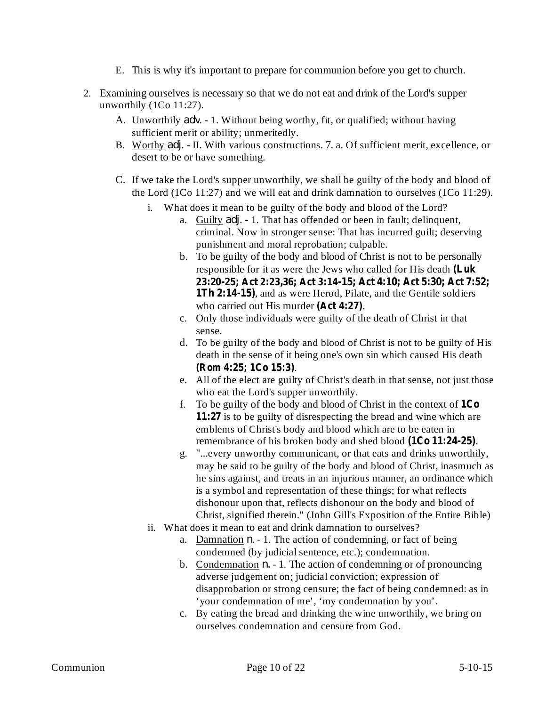- E. This is why it's important to prepare for communion before you get to church.
- 2. Examining ourselves is necessary so that we do not eat and drink of the Lord's supper unworthily (1Co 11:27).
	- A. Unworthily *adv*. 1. Without being worthy, fit, or qualified; without having sufficient merit or ability; unmeritedly.
	- B. Worthy *adj*. II. With various constructions. 7. a. Of sufficient merit, excellence, or desert to be or have something.
	- C. If we take the Lord's supper unworthily, we shall be guilty of the body and blood of the Lord (1Co 11:27) and we will eat and drink damnation to ourselves (1Co 11:29).
		- i. What does it mean to be guilty of the body and blood of the Lord?
			- a. Guilty *adj*. 1. That has offended or been in fault; delinquent, criminal. Now in stronger sense: That has incurred guilt; deserving punishment and moral reprobation; culpable.
			- b. To be guilty of the body and blood of Christ is not to be personally responsible for it as were the Jews who called for His death **(Luk** 1Th 2:14-15), and as were Herod, Pilate, and the Gentile soldiers who carried out His murder (Act 4:27). **23:20-25; Act 2:23,36; Act 3:14-15; Act 4:10; Act 5:30; Act 7:52;**
			- c. Only those individuals were guilty of the death of Christ in that sense.
			- d. To be guilty of the body and blood of Christ is not to be guilty of His death in the sense of it being one's own sin which caused His death . **(Rom 4:25; 1Co 15:3)**
			- e. All of the elect are guilty of Christ's death in that sense, not just those who eat the Lord's supper unworthily.
			- f. To be guilty of the body and blood of Christ in the context of **1Co** 11:27 is to be guilty of disrespecting the bread and wine which are emblems of Christ's body and blood which are to be eaten in remembrance of his broken body and shed blood (1Co 11:24-25).
			- g. "...every unworthy communicant, or that eats and drinks unworthily, may be said to be guilty of the body and blood of Christ, inasmuch as he sins against, and treats in an injurious manner, an ordinance which is a symbol and representation of these things; for what reflects dishonour upon that, reflects dishonour on the body and blood of Christ, signified therein." (John Gill's Exposition of the Entire Bible)
		- ii. What does it mean to eat and drink damnation to ourselves?
			- a. Damnation  $n 1$ . The action of condemning, or fact of being condemned (by judicial sentence, etc.); condemnation.
			- b. Condemnation  $n. 1$ . The action of condemning or of pronouncing adverse judgement on; judicial conviction; expression of disapprobation or strong censure; the fact of being condemned: as in 'your condemnation of me', 'my condemnation by you'.
			- c. By eating the bread and drinking the wine unworthily, we bring on ourselves condemnation and censure from God.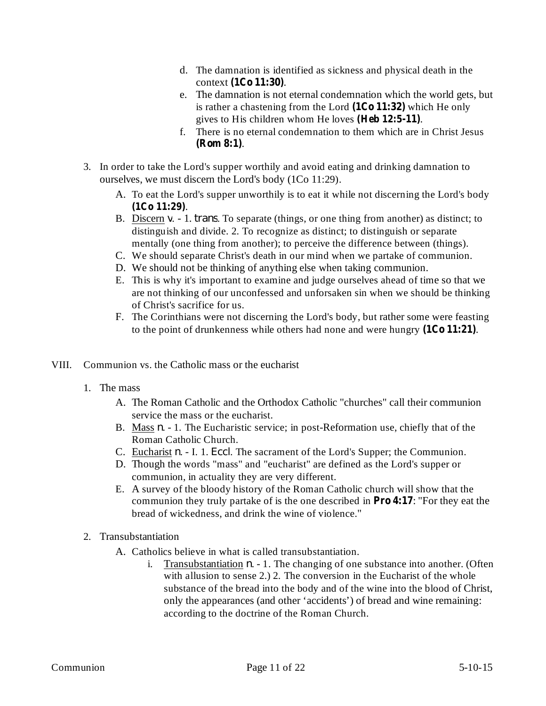- d. The damnation is identified as sickness and physical death in the context (1Co 11:30).
- e. The damnation is not eternal condemnation which the world gets, but is rather a chastening from the Lord  $(1Co 11:32)$  which He only gives to His children whom He loves (Heb 12:5-11).
- f. There is no eternal condemnation to them which are in Christ Jesus . **(Rom 8:1)**
- 3. In order to take the Lord's supper worthily and avoid eating and drinking damnation to ourselves, we must discern the Lord's body (1Co 11:29).
	- A. To eat the Lord's supper unworthily is to eat it while not discerning the Lord's body . **(1Co 11:29)**
	- B. Discern  $v. 1$ . *trans*. To separate (things, or one thing from another) as distinct; to distinguish and divide. 2. To recognize as distinct; to distinguish or separate mentally (one thing from another); to perceive the difference between (things).
	- C. We should separate Christ's death in our mind when we partake of communion.
	- D. We should not be thinking of anything else when taking communion.
	- E. This is why it's important to examine and judge ourselves ahead of time so that we are not thinking of our unconfessed and unforsaken sin when we should be thinking of Christ's sacrifice for us.
	- F. The Corinthians were not discerning the Lord's body, but rather some were feasting to the point of drunkenness while others had none and were hungry (1Co 11:21).
- VIII. Communion vs. the Catholic mass or the eucharist
	- 1. The mass
		- A. The Roman Catholic and the Orthodox Catholic "churches" call their communion service the mass or the eucharist.
		- B. Mass *n*. 1. The Eucharistic service; in post-Reformation use, chiefly that of the Roman Catholic Church.
		- C. Eucharist  $n. I. 1. Eccl.$  The sacrament of the Lord's Supper; the Communion.
		- D. Though the words "mass" and "eucharist" are defined as the Lord's supper or communion, in actuality they are very different.
		- E. A survey of the bloody history of the Roman Catholic church will show that the communion they truly partake of is the one described in **Pro** 4:17: "For they eat the bread of wickedness, and drink the wine of violence."
	- 2. Transubstantiation
		- A. Catholics believe in what is called transubstantiation.
			- i. Transubstantiation  $n. 1$ . The changing of one substance into another. (Often with allusion to sense 2.) 2. The conversion in the Eucharist of the whole substance of the bread into the body and of the wine into the blood of Christ, only the appearances (and other 'accidents') of bread and wine remaining: according to the doctrine of the Roman Church.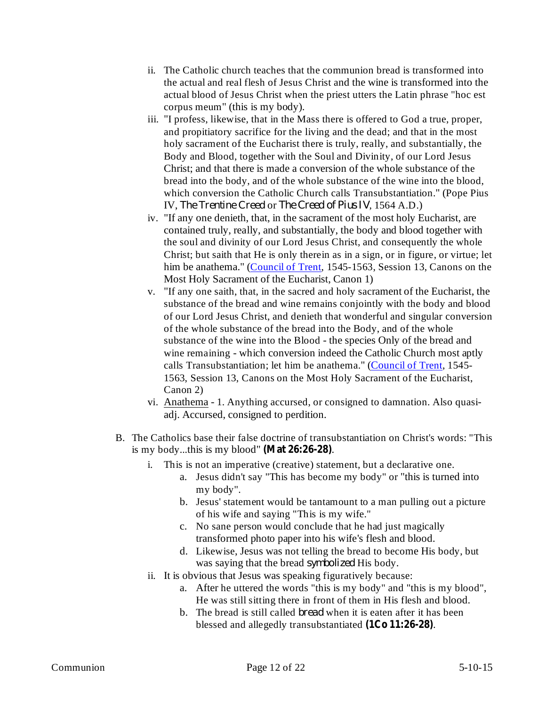- ii. The Catholic church teaches that the communion bread is transformed into the actual and real flesh of Jesus Christ and the wine is transformed into the actual blood of Jesus Christ when the priest utters the Latin phrase "hoc est corpus meum" (this is my body).
- iii. "I profess, likewise, that in the Mass there is offered to God a true, proper, and propitiatory sacrifice for the living and the dead; and that in the most holy sacrament of the Eucharist there is truly, really, and substantially, the Body and Blood, together with the Soul and Divinity, of our Lord Jesus Christ; and that there is made a conversion of the whole substance of the bread into the body, and of the whole substance of the wine into the blood, which conversion the Catholic Church calls Transubstantiation." (Pope Pius IV, The Trentine Creed or The Creed of Pius IV, 1564 A.D.)
- iv. "If any one denieth, that, in the sacrament of the most holy Eucharist, are contained truly, really, and substantially, the body and blood together with the soul and divinity of our Lord Jesus Christ, and consequently the whole Christ; but saith that He is only therein as in a sign, or in figure, or virtue; let him be anathema." (Council of Trent, 1545-1563, Session 13, Canons on the Most Holy Sacrament of the Eucharist, Canon 1)
- v. "If any one saith, that, in the sacred and holy sacrament of the Eucharist, the substance of the bread and wine remains conjointly with the body and blood of our Lord Jesus Christ, and denieth that wonderful and singular conversion of the whole substance of the bread into the Body, and of the whole substance of the wine into the Blood - the species Only of the bread and wine remaining - which conversion indeed the Catholic Church most aptly calls Transubstantiation; let him be anathema." (Council of Trent, 1545-1563, Session 13, Canons on the Most Holy Sacrament of the Eucharist, Canon 2)
- vi. Anathema 1. Anything accursed, or consigned to damnation. Also quasiadj. Accursed, consigned to perdition.
- B. The Catholics base their false doctrine of transubstantiation on Christ's words: "This is my body...this is my blood"  $(Mat 26:26-28)$ .
	- i. This is not an imperative (creative) statement, but a declarative one.
		- a. Jesus didn't say "This has become my body" or "this is turned into my body".
		- b. Jesus' statement would be tantamount to a man pulling out a picture of his wife and saying "This is my wife."
		- c. No sane person would conclude that he had just magically transformed photo paper into his wife's flesh and blood.
		- d. Likewise, Jesus was not telling the bread to become His body, but was saying that the bread *symbolized* His body.
	- ii. It is obvious that Jesus was speaking figuratively because:
		- a. After he uttered the words "this is my body" and "this is my blood", He was still sitting there in front of them in His flesh and blood.
		- b. The bread is still called *bread* when it is eaten after it has been blessed and allegedly transubstantiated (1Co 11:26-28).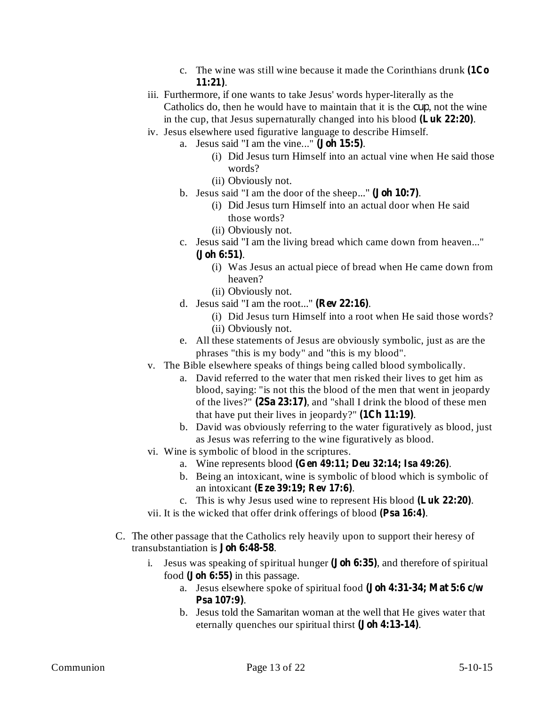- c. The wine was still wine because it made the Corinthians drunk **(1Co** . **11:21)**
- iii. Furthermore, if one wants to take Jesus' words hyper-literally as the Catholics do, then he would have to maintain that it is the *cup*, not the wine in the cup, that Jesus supernaturally changed into his blood (Luk 22:20).
- iv. Jesus elsewhere used figurative language to describe Himself.
	- a. Jesus said "I am the vine..." (**Joh 15:5**).
		- (i) Did Jesus turn Himself into an actual vine when He said those words?
		- (ii) Obviously not.
		- b. Jesus said "I am the door of the sheep..." (**Joh 10:7**).
			- (i) Did Jesus turn Himself into an actual door when He said those words?
			- (ii) Obviously not.
		- c. Jesus said "I am the living bread which came down from heaven..." . **(Joh 6:51)**
			- (i) Was Jesus an actual piece of bread when He came down from heaven?
			- (ii) Obviously not.
		- d. Jesus said "I am the root..." ( $\text{Rev } 22:16$ ).
			- (i) Did Jesus turn Himself into a root when He said those words? (ii) Obviously not.
		- e. All these statements of Jesus are obviously symbolic, just as are the phrases "this is my body" and "this is my blood".
- v. The Bible elsewhere speaks of things being called blood symbolically.
	- a. David referred to the water that men risked their lives to get him as blood, saying: "is not this the blood of the men that went in jeopardy of the lives?" (2Sa 23:17), and "shall I drink the blood of these men that have put their lives in jeopardy?"  $(1Ch 11:19)$ .
	- b. David was obviously referring to the water figuratively as blood, just as Jesus was referring to the wine figuratively as blood.
- vi. Wine is symbolic of blood in the scriptures.
	- a. Wine represents blood (Gen 49:11; Deu 32:14; Isa 49:26).
	- b. Being an intoxicant, wine is symbolic of blood which is symbolic of an intoxicant (Eze 39:19; Rev 17:6).
	- c. This is why Jesus used wine to represent His blood (Luk 22:20).
- vii. It is the wicked that offer drink offerings of blood (Psa 16:4).
- C. The other passage that the Catholics rely heavily upon to support their heresy of transubstantiation is **Joh 6:48-58**.
	- i. Jesus was speaking of spiritual hunger (**Joh 6:35**), and therefore of spiritual food (**Joh 6:55**) in this passage.
		- a. Jesus elsewhere spoke of spiritual food **(Joh 4:31-34; Mat 5:6 c/w** . **Psa 107:9)**
		- b. Jesus told the Samaritan woman at the well that He gives water that eternally quenches our spiritual thirst (**Joh 4:13-14**).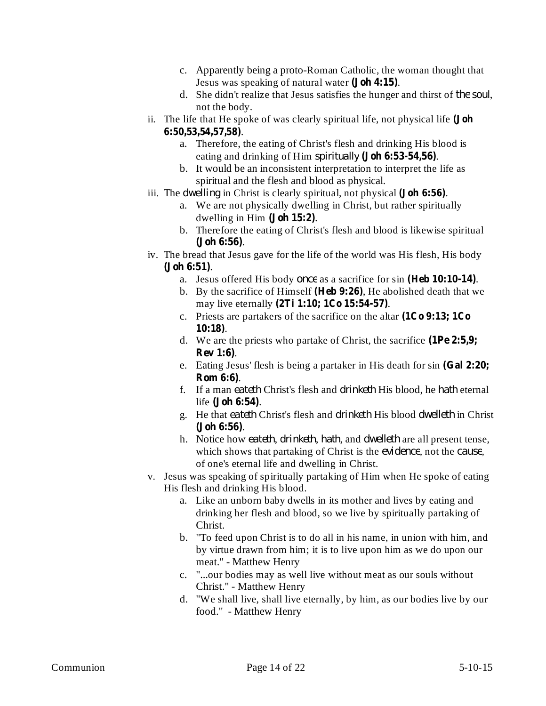- c. Apparently being a proto-Roman Catholic, the woman thought that Jesus was speaking of natural water (**Joh 4:15**).
- d. She didn't realize that Jesus satisfies the hunger and thirst of the soul, not the body.
- ii. The life that He spoke of was clearly spiritual life, not physical life **(Joh** . **6:50,53,54,57,58)**
	- a. Therefore, the eating of Christ's flesh and drinking His blood is eating and drinking of Him *spiritually* (**Joh 6:53-54,56**).
	- b. It would be an inconsistent interpretation to interpret the life as spiritual and the flesh and blood as physical.
- iii. The *dwelling* in Christ is clearly spiritual, not physical (**Joh 6:56**).
	- a. We are not physically dwelling in Christ, but rather spiritually dwelling in Him  $(Joh 15:2)$ .
	- b. Therefore the eating of Christ's flesh and blood is likewise spiritual . **(Joh 6:56)**
- iv. The bread that Jesus gave for the life of the world was His flesh, His body . **(Joh 6:51)**
	- a. Jesus offered His body once as a sacrifice for sin (Heb 10:10-14).
	- b. By the sacrifice of Himself (Heb 9:26), He abolished death that we may live eternally (2Ti 1:10; 1Co 15:54-57).
	- c. Priests are partakers of the sacrifice on the altar **(1Co 9:13; 1Co** . **10:18)**
	- d. We are the priests who partake of Christ, the sacrifice **(1Pe 2:5,9;** . **Rev 1:6)**
	- e. Eating Jesus' flesh is being a partaker in His death for sin **(Gal 2:20;** . **Rom 6:6)**
	- f. If a man eateth Christ's flesh and drinketh His blood, he hath eternal life (**Joh 6:54**).
	- g. He that eateth Christ's flesh and drinketh His blood dwelleth in Christ . **(Joh 6:56)**
	- h. Notice how eateth, drinketh, hath, and dwelleth are all present tense, which shows that partaking of Christ is the *evidence*, not the *cause*, of one's eternal life and dwelling in Christ.
- v. Jesus was speaking of spiritually partaking of Him when He spoke of eating His flesh and drinking His blood.
	- a. Like an unborn baby dwells in its mother and lives by eating and drinking her flesh and blood, so we live by spiritually partaking of Christ.
	- b. "To feed upon Christ is to do all in his name, in union with him, and by virtue drawn from him; it is to live upon him as we do upon our meat." - Matthew Henry
	- c. "...our bodies may as well live without meat as our souls without Christ." - Matthew Henry
	- d. "We shall live, shall live eternally, by him, as our bodies live by our food." - Matthew Henry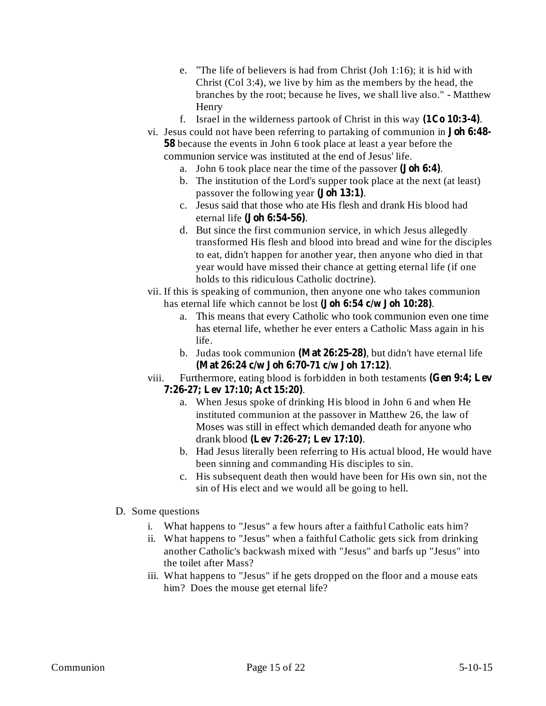- e. "The life of believers is had from Christ (Joh 1:16); it is hid with Christ (Col 3:4), we live by him as the members by the head, the branches by the root; because he lives, we shall live also." - Matthew Henry
- f. Israel in the wilderness partook of Christ in this way  $(1Co 10:3-4)$ .
- vi. Jesus could not have been referring to partaking of communion in **Joh 6:48-** 58 because the events in John 6 took place at least a year before the communion service was instituted at the end of Jesus' life.
	- a. John 6 took place near the time of the passover (**Joh 6:4**).
	- b. The institution of the Lord's supper took place at the next (at least) passover the following year (**Joh 13:1**).
	- c. Jesus said that those who ate His flesh and drank His blood had eternal life (**Joh 6:54-56**).
	- d. But since the first communion service, in which Jesus allegedly transformed His flesh and blood into bread and wine for the disciples to eat, didn't happen for another year, then anyone who died in that year would have missed their chance at getting eternal life (if one holds to this ridiculous Catholic doctrine).
- vii. If this is speaking of communion, then anyone one who takes communion has eternal life which cannot be lost (**Joh 6:54 c/w Joh 10:28**).
	- a. This means that every Catholic who took communion even one time has eternal life, whether he ever enters a Catholic Mass again in his life.
	- b. Judas took communion (Mat 26:25-28), but didn't have eternal life . **(Mat 26:24 c/w Joh 6:70-71 c/w Joh 17:12)**
- viii. Furthermore, eating blood is forbidden in both testaments **(Gen 9:4; Lev** . **7:26-27; Lev 17:10; Act 15:20)**
	- a. When Jesus spoke of drinking His blood in John 6 and when He instituted communion at the passover in Matthew 26, the law of Moses was still in effect which demanded death for anyone who drank blood . **(Lev 7:26-27; Lev 17:10)**
	- b. Had Jesus literally been referring to His actual blood, He would have been sinning and commanding His disciples to sin.
	- c. His subsequent death then would have been for His own sin, not the sin of His elect and we would all be going to hell.

## D. Some questions

- i. What happens to "Jesus" a few hours after a faithful Catholic eats him?
- ii. What happens to "Jesus" when a faithful Catholic gets sick from drinking another Catholic's backwash mixed with "Jesus" and barfs up "Jesus" into the toilet after Mass?
- iii. What happens to "Jesus" if he gets dropped on the floor and a mouse eats him? Does the mouse get eternal life?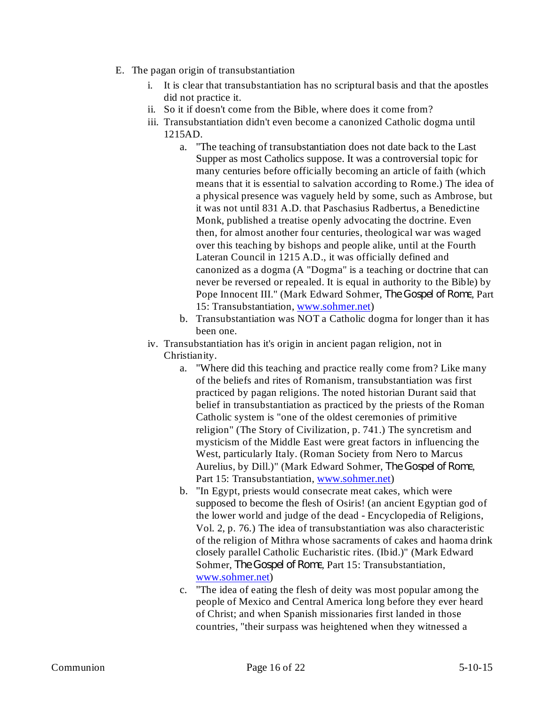- E. The pagan origin of transubstantiation
	- i. It is clear that transubstantiation has no scriptural basis and that the apostles did not practice it.
	- ii. So it if doesn't come from the Bible, where does it come from?
	- iii. Transubstantiation didn't even become a canonized Catholic dogma until 1215AD.
		- a. "The teaching of transubstantiation does not date back to the Last Supper as most Catholics suppose. It was a controversial topic for many centuries before officially becoming an article of faith (which means that it is essential to salvation according to Rome.) The idea of a physical presence was vaguely held by some, such as Ambrose, but it was not until 831 A.D. that Paschasius Radbertus, a Benedictine Monk, published a treatise openly advocating the doctrine. Even then, for almost another four centuries, theological war was waged over this teaching by bishops and people alike, until at the Fourth Lateran Council in 1215 A.D., it was officially defined and canonized as a dogma (A "Dogma" is a teaching or doctrine that can never be reversed or repealed. It is equal in authority to the Bible) by Pope Innocent III." (Mark Edward Sohmer, The Gospel of Rome, Part 15: Transubstantiation, www.sohmer.net)
		- b. Transubstantiation was NOT a Catholic dogma for longer than it has been one.
	- iv. Transubstantiation has it's origin in ancient pagan religion, not in Christianity.
		- a. "Where did this teaching and practice really come from? Like many of the beliefs and rites of Romanism, transubstantiation was first practiced by pagan religions. The noted historian Durant said that belief in transubstantiation as practiced by the priests of the Roman Catholic system is "one of the oldest ceremonies of primitive religion" (The Story of Civilization, p. 741.) The syncretism and mysticism of the Middle East were great factors in influencing the West, particularly Italy. (Roman Society from Nero to Marcus Aurelius, by Dill.)" (Mark Edward Sohmer, *The Gospel of Rome*, Part 15: Transubstantiation, www.sohmer.net)
		- b. "In Egypt, priests would consecrate meat cakes, which were supposed to become the flesh of Osiris! (an ancient Egyptian god of the lower world and judge of the dead - Encyclopedia of Religions, Vol. 2, p. 76.) The idea of transubstantiation was also characteristic of the religion of Mithra whose sacraments of cakes and haoma drink closely parallel Catholic Eucharistic rites. (Ibid.)" (Mark Edward Sohmer, The Gospel of Rome, Part 15: Transubstantiation, www.sohmer.net)
		- c. "The idea of eating the flesh of deity was most popular among the people of Mexico and Central America long before they ever heard of Christ; and when Spanish missionaries first landed in those countries, "their surpass was heightened when they witnessed a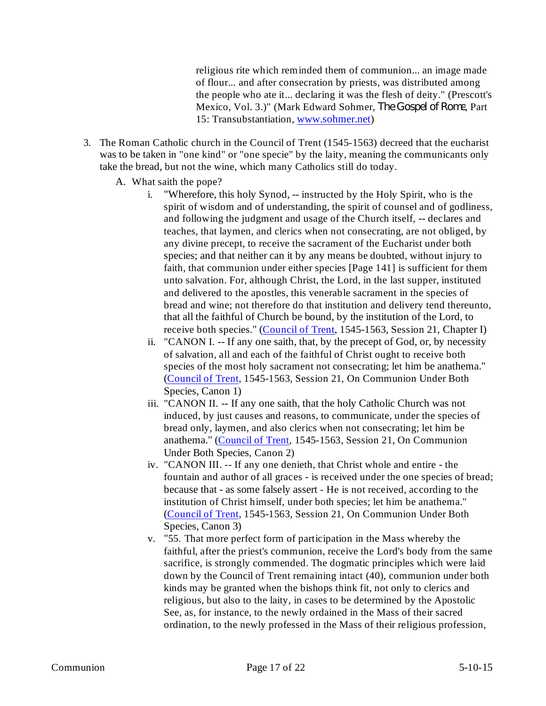religious rite which reminded them of communion... an image made of flour... and after consecration by priests, was distributed among the people who ate it... declaring it was the flesh of deity." (Prescott's Mexico, Vol. 3.)" (Mark Edward Sohmer, *The Gospel of Rome*, Part 15: Transubstantiation, www.sohmer.net)

- 3. The Roman Catholic church in the Council of Trent (1545-1563) decreed that the eucharist was to be taken in "one kind" or "one specie" by the laity, meaning the communicants only take the bread, but not the wine, which many Catholics still do today.
	- A. What saith the pope?
		- i. "Wherefore, this holy Synod, -- instructed by the Holy Spirit, who is the spirit of wisdom and of understanding, the spirit of counsel and of godliness, and following the judgment and usage of the Church itself, -- declares and teaches, that laymen, and clerics when not consecrating, are not obliged, by any divine precept, to receive the sacrament of the Eucharist under both species; and that neither can it by any means be doubted, without injury to faith, that communion under either species [Page 141] is sufficient for them unto salvation. For, although Christ, the Lord, in the last supper, instituted and delivered to the apostles, this venerable sacrament in the species of bread and wine; not therefore do that institution and delivery tend thereunto, that all the faithful of Church be bound, by the institution of the Lord, to receive both species." (Council of Trent, 1545-1563, Session 21, Chapter I)
		- ii. "CANON I. -- If any one saith, that, by the precept of God, or, by necessity of salvation, all and each of the faithful of Christ ought to receive both species of the most holy sacrament not consecrating; let him be anathema." (Council of Trent, 1545-1563, Session 21, On Communion Under Both Species, Canon 1)
		- iii. "CANON II. -- If any one saith, that the holy Catholic Church was not induced, by just causes and reasons, to communicate, under the species of bread only, laymen, and also clerics when not consecrating; let him be anathema." (Council of Trent, 1545-1563, Session 21, On Communion Under Both Species, Canon 2)
		- iv. "CANON III. -- If any one denieth, that Christ whole and entire the fountain and author of all graces - is received under the one species of bread; because that - as some falsely assert - He is not received, according to the institution of Christ himself, under both species; let him be anathema." (Council of Trent, 1545-1563, Session 21, On Communion Under Both Species, Canon 3)
		- v. "55. That more perfect form of participation in the Mass whereby the faithful, after the priest's communion, receive the Lord's body from the same sacrifice, is strongly commended. The dogmatic principles which were laid down by the Council of Trent remaining intact (40), communion under both kinds may be granted when the bishops think fit, not only to clerics and religious, but also to the laity, in cases to be determined by the Apostolic See, as, for instance, to the newly ordained in the Mass of their sacred ordination, to the newly professed in the Mass of their religious profession,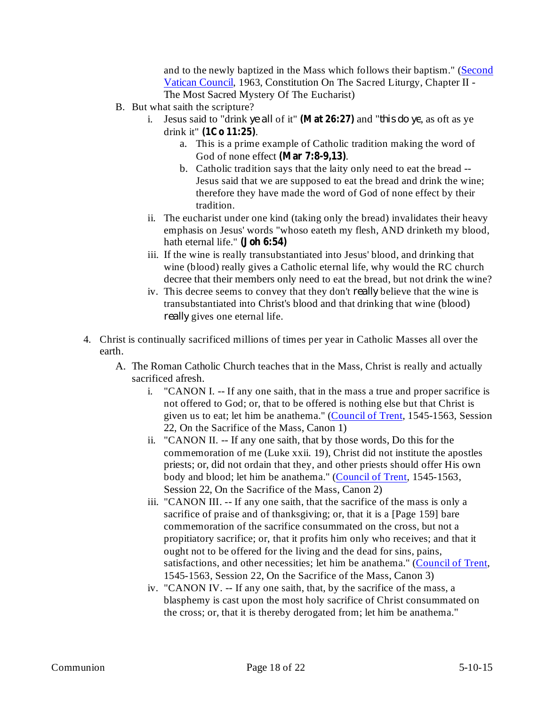and to the newly baptized in the Mass which follows their baptism." (Second Vatican Council, 1963, Constitution On The Sacred Liturgy, Chapter II - The Most Sacred Mystery Of The Eucharist)

- B. But what saith the scripture?
	- i. Jesus said to "drink ye all of it" (Mat 26:27) and "*this do ye*, as oft as ye drink it" (1Co 11:25).
		- a. This is a prime example of Catholic tradition making the word of God of none effect (Mar 7:8-9,13).
		- b. Catholic tradition says that the laity only need to eat the bread -- Jesus said that we are supposed to eat the bread and drink the wine; therefore they have made the word of God of none effect by their tradition.
	- ii. The eucharist under one kind (taking only the bread) invalidates their heavy emphasis on Jesus' words "whoso eateth my flesh, AND drinketh my blood, hath eternal life." **(Joh 6:54)**
	- iii. If the wine is really transubstantiated into Jesus' blood, and drinking that wine (blood) really gives a Catholic eternal life, why would the RC church decree that their members only need to eat the bread, but not drink the wine?
	- iv. This decree seems to convey that they don't *really* believe that the wine is transubstantiated into Christ's blood and that drinking that wine (blood) really gives one eternal life.
- 4. Christ is continually sacrificed millions of times per year in Catholic Masses all over the earth.
	- A. The Roman Catholic Church teaches that in the Mass, Christ is really and actually sacrificed afresh.
		- i. "CANON I. -- If any one saith, that in the mass a true and proper sacrifice is not offered to God; or, that to be offered is nothing else but that Christ is given us to eat; let him be anathema." (Council of Trent, 1545-1563, Session 22, On the Sacrifice of the Mass, Canon 1)
		- ii. "CANON II. -- If any one saith, that by those words, Do this for the commemoration of me (Luke xxii. 19), Christ did not institute the apostles priests; or, did not ordain that they, and other priests should offer His own body and blood; let him be anathema." (Council of Trent, 1545-1563, Session 22, On the Sacrifice of the Mass, Canon 2)
		- iii. "CANON III. -- If any one saith, that the sacrifice of the mass is only a sacrifice of praise and of thanksgiving; or, that it is a [Page 159] bare commemoration of the sacrifice consummated on the cross, but not a propitiatory sacrifice; or, that it profits him only who receives; and that it ought not to be offered for the living and the dead for sins, pains, satisfactions, and other necessities; let him be anathema." (Council of Trent, 1545-1563, Session 22, On the Sacrifice of the Mass, Canon 3)
		- iv. "CANON IV. -- If any one saith, that, by the sacrifice of the mass, a blasphemy is cast upon the most holy sacrifice of Christ consummated on the cross; or, that it is thereby derogated from; let him be anathema."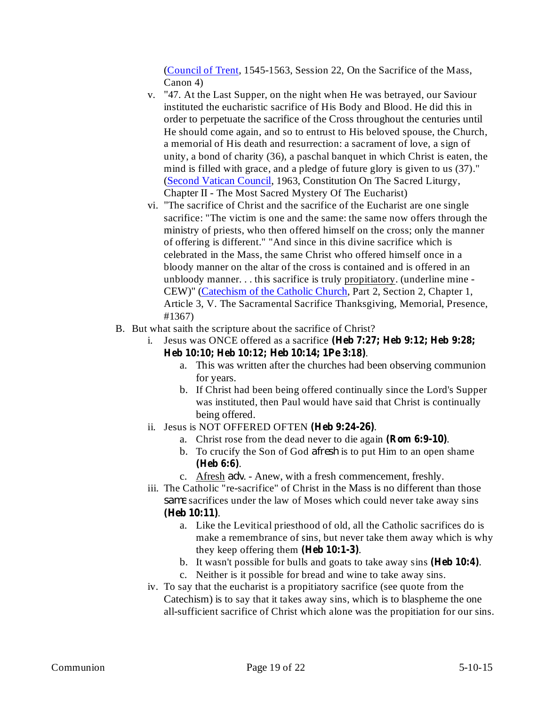(Council of Trent, 1545-1563, Session 22, On the Sacrifice of the Mass, Canon 4)

- v. "47. At the Last Supper, on the night when He was betrayed, our Saviour instituted the eucharistic sacrifice of His Body and Blood. He did this in order to perpetuate the sacrifice of the Cross throughout the centuries until He should come again, and so to entrust to His beloved spouse, the Church, a memorial of His death and resurrection: a sacrament of love, a sign of unity, a bond of charity (36), a paschal banquet in which Christ is eaten, the mind is filled with grace, and a pledge of future glory is given to us (37)." (Second Vatican Council, 1963, Constitution On The Sacred Liturgy, Chapter II - The Most Sacred Mystery Of The Eucharist)
- vi. "The sacrifice of Christ and the sacrifice of the Eucharist are one single sacrifice: "The victim is one and the same: the same now offers through the ministry of priests, who then offered himself on the cross; only the manner of offering is different." "And since in this divine sacrifice which is celebrated in the Mass, the same Christ who offered himself once in a bloody manner on the altar of the cross is contained and is offered in an unbloody manner. . . this sacrifice is truly propitiatory. (underline mine - CEW)" (Catechism of the Catholic Church, Part 2, Section 2, Chapter 1, Article 3, V. The Sacramental Sacrifice Thanksgiving, Memorial, Presence, #1367)
- B. But what saith the scripture about the sacrifice of Christ?
	- i. Jesus was ONCE offered as a sacrifice **(Heb 7:27; Heb 9:12; Heb 9:28;** . **Heb 10:10; Heb 10:12; Heb 10:14; 1Pe 3:18)**
		- a. This was written after the churches had been observing communion for years.
		- b. If Christ had been being offered continually since the Lord's Supper was instituted, then Paul would have said that Christ is continually being offered.
	- ii. Jesus is NOT OFFERED OFTEN (Heb 9:24-26).
		- a. Christ rose from the dead never to die again (Rom 6:9-10).
		- b. To crucify the Son of God *afresh* is to put Him to an open shame . **(Heb 6:6)**
		- c. Afresh *adv*. Anew, with a fresh commencement, freshly.
	- iii. The Catholic "re-sacrifice" of Christ in the Mass is no different than those same sacrifices under the law of Moses which could never take away sins . **(Heb 10:11)**
		- a. Like the Levitical priesthood of old, all the Catholic sacrifices do is make a remembrance of sins, but never take them away which is why they keep offering them  $(Heb 10:1-3)$ .
		- b. It wasn't possible for bulls and goats to take away sins (Heb 10:4).
		- c. Neither is it possible for bread and wine to take away sins.
	- iv. To say that the eucharist is a propitiatory sacrifice (see quote from the Catechism) is to say that it takes away sins, which is to blaspheme the one all-sufficient sacrifice of Christ which alone was the propitiation for our sins.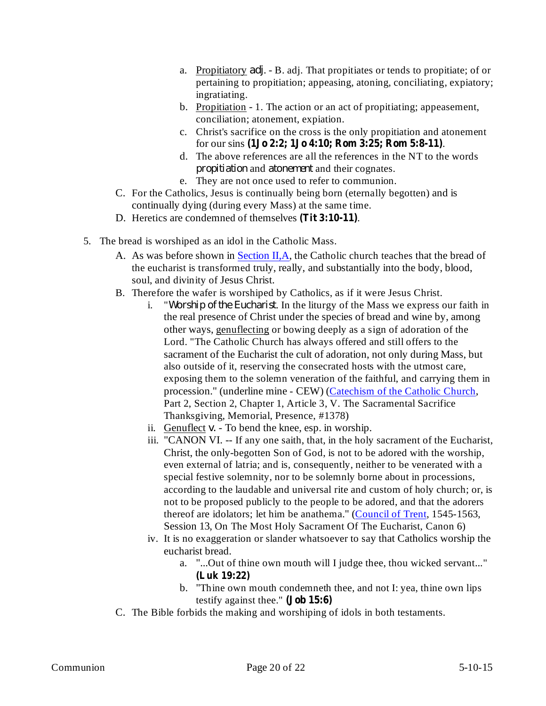- a. Propitiatory *adj*. B. adj. That propitiates or tends to propitiate; of or pertaining to propitiation; appeasing, atoning, conciliating, expiatory; ingratiating.
- b. Propitiation 1. The action or an act of propitiating; appeasement, conciliation; atonement, expiation.
- c. Christ's sacrifice on the cross is the only propitiation and atonement for our sins . **(1Jo 2:2; 1Jo 4:10; Rom 3:25; Rom 5:8-11)**
- d. The above references are all the references in the NT to the words *propitiation* and *atonement* and their cognates.
- e. They are not once used to refer to communion.
- C. For the Catholics, Jesus is continually being born (eternally begotten) and is continually dying (during every Mass) at the same time.
- D. Heretics are condemned of themselves (Tit 3:10-11).
- 5. The bread is worshiped as an idol in the Catholic Mass.
	- A. As was before shown in Section II,A, the Catholic church teaches that the bread of the eucharist is transformed truly, really, and substantially into the body, blood, soul, and divinity of Jesus Christ.
	- B. Therefore the wafer is worshiped by Catholics, as if it were Jesus Christ.
		- i. *"Worship of the Eucharist*. In the liturgy of the Mass we express our faith in the real presence of Christ under the species of bread and wine by, among other ways, genuflecting or bowing deeply as a sign of adoration of the Lord. "The Catholic Church has always offered and still offers to the sacrament of the Eucharist the cult of adoration, not only during Mass, but also outside of it, reserving the consecrated hosts with the utmost care, exposing them to the solemn veneration of the faithful, and carrying them in procession." (underline mine - CEW) (Catechism of the Catholic Church, Part 2, Section 2, Chapter 1, Article 3, V. The Sacramental Sacrifice Thanksgiving, Memorial, Presence, #1378)
		- ii. Genuflect  $v.$  To bend the knee, esp. in worship.
		- iii. "CANON VI. -- If any one saith, that, in the holy sacrament of the Eucharist, Christ, the only-begotten Son of God, is not to be adored with the worship, even external of latria; and is, consequently, neither to be venerated with a special festive solemnity, nor to be solemnly borne about in processions, according to the laudable and universal rite and custom of holy church; or, is not to be proposed publicly to the people to be adored, and that the adorers thereof are idolators; let him be anathema." (Council of Trent, 1545-1563, Session 13, On The Most Holy Sacrament Of The Eucharist, Canon 6)
		- iv. It is no exaggeration or slander whatsoever to say that Catholics worship the eucharist bread.
			- a. "...Out of thine own mouth will I judge thee, thou wicked servant..." **(Luk 19:22)**
			- b. "Thine own mouth condemneth thee, and not I: yea, thine own lips testify against thee." **(Job 15:6)**
	- C. The Bible forbids the making and worshiping of idols in both testaments.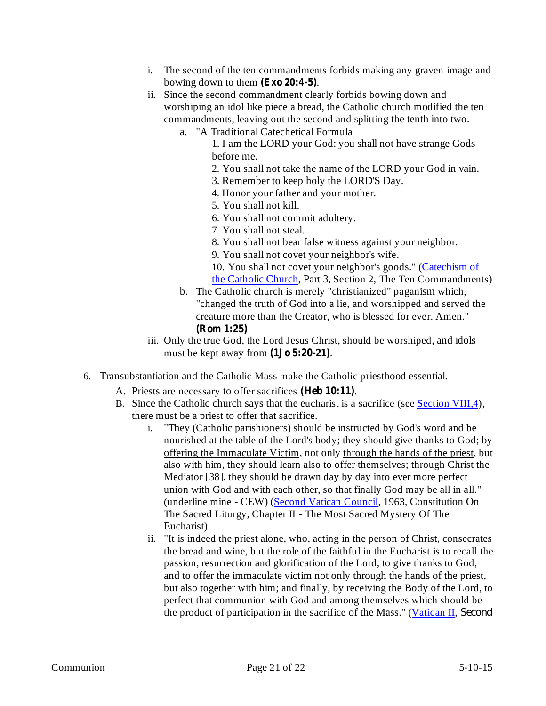- i. The second of the ten commandments forbids making any graven image and bowing down to them  $(Exo 20:4-5)$ .
- ii. Since the second commandment clearly forbids bowing down and worshiping an idol like piece a bread, the Catholic church modified the ten commandments, leaving out the second and splitting the tenth into two.
	- a. "A Traditional Catechetical Formula
		- 1. I am the LORD your God: you shall not have strange Gods before me.
		- 2. You shall not take the name of the LORD your God in vain.
		- 3. Remember to keep holy the LORD'S Day.
		- 4. Honor your father and your mother.
		- 5. You shall not kill.
		- 6. You shall not commit adultery.
		- 7. You shall not steal.
		- 8. You shall not bear false witness against your neighbor.
		- 9. You shall not covet your neighbor's wife.
		- 10. You shall not covet your neighbor's goods." (Catechism of
		- the Catholic Church, Part 3, Section 2, The Ten Commandments)
	- b. The Catholic church is merely "christianized" paganism which, "changed the truth of God into a lie, and worshipped and served the creature more than the Creator, who is blessed for ever. Amen." **(Rom 1:25)**
- iii. Only the true God, the Lord Jesus Christ, should be worshiped, and idols must be kept away from  $(1J\sigma 5:20-21)$ .
- 6. Transubstantiation and the Catholic Mass make the Catholic priesthood essential.
	- A. Priests are necessary to offer sacrifices (Heb 10:11).
	- B. Since the Catholic church says that the eucharist is a sacrifice (see Section VIII,4), there must be a priest to offer that sacrifice.
		- i. "They (Catholic parishioners) should be instructed by God's word and be nourished at the table of the Lord's body; they should give thanks to God; by offering the Immaculate Victim, not only through the hands of the priest, but also with him, they should learn also to offer themselves; through Christ the Mediator [38], they should be drawn day by day into ever more perfect union with God and with each other, so that finally God may be all in all." (underline mine - CEW) (Second Vatican Council, 1963, Constitution On The Sacred Liturgy, Chapter II - The Most Sacred Mystery Of The Eucharist)
		- ii. "It is indeed the priest alone, who, acting in the person of Christ, consecrates the bread and wine, but the role of the faithful in the Eucharist is to recall the passion, resurrection and glorification of the Lord, to give thanks to God, and to offer the immaculate victim not only through the hands of the priest, but also together with him; and finally, by receiving the Body of the Lord, to perfect that communion with God and among themselves which should be the product of participation in the sacrifice of the Mass." (Vatican II, *Second*